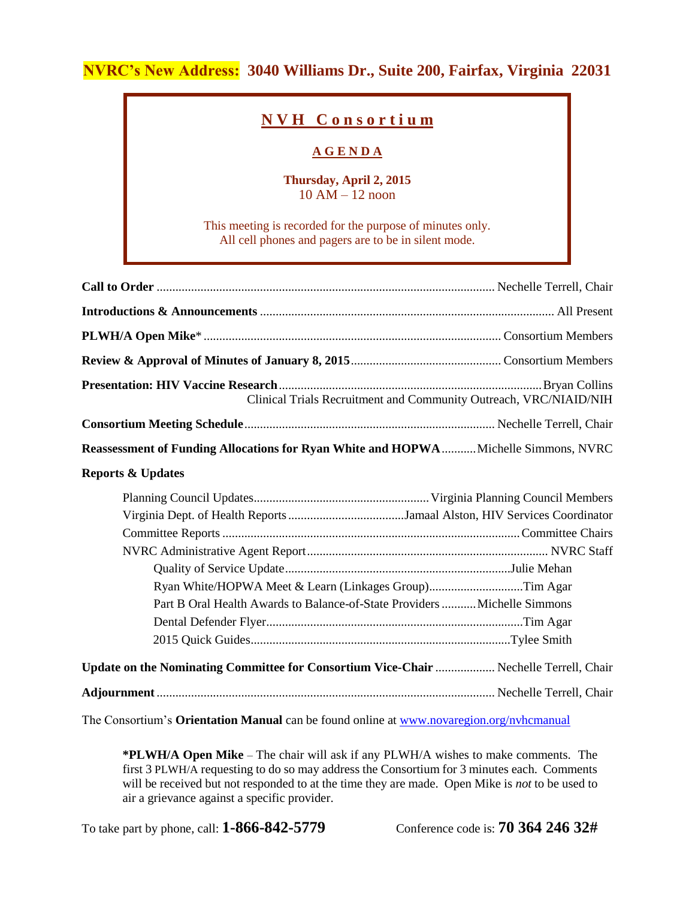# **NVRC's New Address: 3040 Williams Dr., Suite 200, Fairfax, Virginia 22031**

## **N V H C o n s o r t i u m**

### **A G E N D A**

#### **Thursday, April 2, 2015**  $10$  AM  $-$  12 noon

This meeting is recorded for the purpose of minutes only. All cell phones and pagers are to be in silent mode.

| Clinical Trials Recruitment and Community Outreach, VRC/NIAID/NIH                                                                                                                                                            |  |  |  |  |
|------------------------------------------------------------------------------------------------------------------------------------------------------------------------------------------------------------------------------|--|--|--|--|
|                                                                                                                                                                                                                              |  |  |  |  |
| Reassessment of Funding Allocations for Ryan White and HOPWA  Michelle Simmons, NVRC                                                                                                                                         |  |  |  |  |
| <b>Reports &amp; Updates</b>                                                                                                                                                                                                 |  |  |  |  |
| Ryan White/HOPWA Meet & Learn (Linkages Group)Tim Agar<br>Part B Oral Health Awards to Balance-of-State Providers  Michelle Simmons<br>Update on the Nominating Committee for Consortium Vice-Chair  Nechelle Terrell, Chair |  |  |  |  |
|                                                                                                                                                                                                                              |  |  |  |  |

The Consortium's **Orientation Manual** can be found online at [www.novaregion.org/nvhcmanual](http://www.novaregion.org/nvhcmanual)

**\*PLWH/A Open Mike** – The chair will ask if any PLWH/A wishes to make comments. The first 3 PLWH/A requesting to do so may address the Consortium for 3 minutes each. Comments will be received but not responded to at the time they are made. Open Mike is *not* to be used to air a grievance against a specific provider.